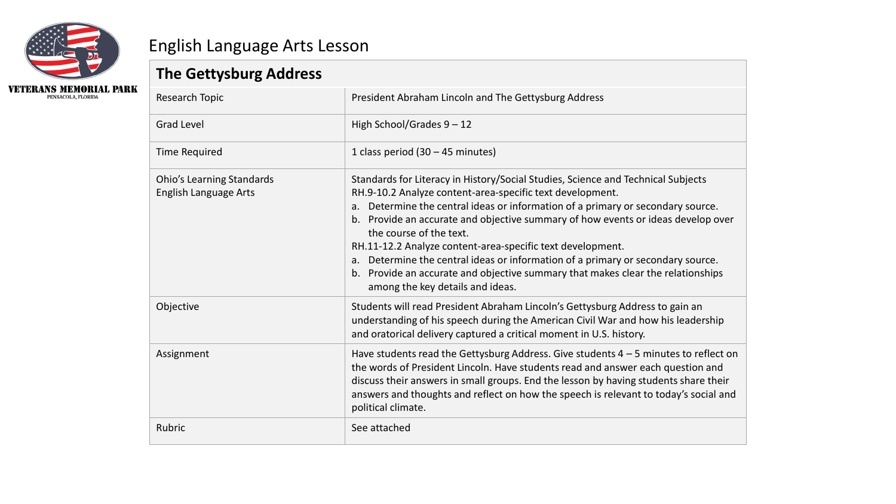

## English Language Arts Lesson

## **The Gettysburg Address**

| The Gettysburg Address                                    |                                                                                                                                                                                                                                                                                                                                                                                                                                                                                                                                                                                                                            |
|-----------------------------------------------------------|----------------------------------------------------------------------------------------------------------------------------------------------------------------------------------------------------------------------------------------------------------------------------------------------------------------------------------------------------------------------------------------------------------------------------------------------------------------------------------------------------------------------------------------------------------------------------------------------------------------------------|
| Research Topic                                            | President Abraham Lincoln and The Gettysburg Address                                                                                                                                                                                                                                                                                                                                                                                                                                                                                                                                                                       |
| <b>Grad Level</b>                                         | High School/Grades 9 - 12                                                                                                                                                                                                                                                                                                                                                                                                                                                                                                                                                                                                  |
| <b>Time Required</b>                                      | 1 class period $(30 - 45$ minutes)                                                                                                                                                                                                                                                                                                                                                                                                                                                                                                                                                                                         |
| <b>Ohio's Learning Standards</b><br>English Language Arts | Standards for Literacy in History/Social Studies, Science and Technical Subjects<br>RH.9-10.2 Analyze content-area-specific text development.<br>Determine the central ideas or information of a primary or secondary source.<br>a.<br>b. Provide an accurate and objective summary of how events or ideas develop over<br>the course of the text.<br>RH.11-12.2 Analyze content-area-specific text development.<br>a. Determine the central ideas or information of a primary or secondary source.<br>b. Provide an accurate and objective summary that makes clear the relationships<br>among the key details and ideas. |
| Objective                                                 | Students will read President Abraham Lincoln's Gettysburg Address to gain an<br>understanding of his speech during the American Civil War and how his leadership<br>and oratorical delivery captured a critical moment in U.S. history.                                                                                                                                                                                                                                                                                                                                                                                    |
| Assignment                                                | Have students read the Gettysburg Address. Give students $4-5$ minutes to reflect on<br>the words of President Lincoln. Have students read and answer each question and<br>discuss their answers in small groups. End the lesson by having students share their<br>answers and thoughts and reflect on how the speech is relevant to today's social and<br>political climate.                                                                                                                                                                                                                                              |
| Rubric                                                    | See attached                                                                                                                                                                                                                                                                                                                                                                                                                                                                                                                                                                                                               |
|                                                           |                                                                                                                                                                                                                                                                                                                                                                                                                                                                                                                                                                                                                            |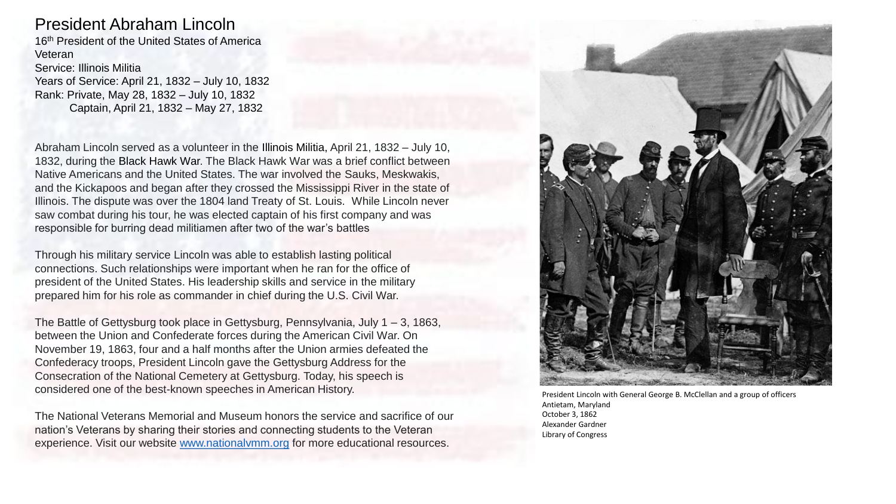## President Abraham Lincoln

16th President of the United States of America Veteran

Service: Illinois Militia Years of Service: April 21, 1832 – July 10, 1832 Rank: Private, May 28, 1832 – July 10, 1832 Captain, April 21, 1832 – May 27, 1832

Abraham Lincoln served as a volunteer in the Illinois Militia, April 21, 1832 – July 10, 1832, during the Black Hawk War. The Black Hawk War was a brief conflict between Native Americans and the United States. The war involved the Sauks, Meskwakis, and the Kickapoos and began after they crossed the Mississippi River in the state of Illinois. The dispute was over the 1804 land Treaty of St. Louis. While Lincoln never saw combat during his tour, he was elected captain of his first company and was responsible for burring dead militiamen after two of the war's battles

Through his military service Lincoln was able to establish lasting political connections. Such relationships were important when he ran for the office of president of the United States. His leadership skills and service in the military prepared him for his role as commander in chief during the U.S. Civil War.

The Battle of Gettysburg took place in Gettysburg, Pennsylvania, July 1 – 3, 1863, between the Union and Confederate forces during the American Civil War. On November 19, 1863, four and a half months after the Union armies defeated the Confederacy troops, President Lincoln gave the Gettysburg Address for the Consecration of the National Cemetery at Gettysburg. Today, his speech is considered one of the best-known speeches in American History.

The National Veterans Memorial and Museum honors the service and sacrifice of our nation's Veterans by sharing their stories and connecting students to the Veteran experience. Visit our website [www.nationalvmm.org](http://www.nationalvmm.org/) for more educational resources.



President Lincoln with General George B. McClellan and a group of officers Antietam, Maryland October 3, 1862 Alexander Gardner Library of Congress